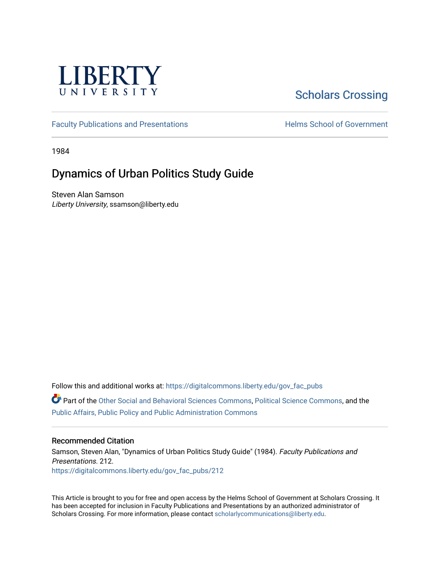

# [Scholars Crossing](https://digitalcommons.liberty.edu/)

[Faculty Publications and Presentations](https://digitalcommons.liberty.edu/gov_fac_pubs) **Exercise School of Government** 

1984

## Dynamics of Urban Politics Study Guide

Steven Alan Samson Liberty University, ssamson@liberty.edu

Follow this and additional works at: [https://digitalcommons.liberty.edu/gov\\_fac\\_pubs](https://digitalcommons.liberty.edu/gov_fac_pubs?utm_source=digitalcommons.liberty.edu%2Fgov_fac_pubs%2F212&utm_medium=PDF&utm_campaign=PDFCoverPages)

Part of the [Other Social and Behavioral Sciences Commons](http://network.bepress.com/hgg/discipline/437?utm_source=digitalcommons.liberty.edu%2Fgov_fac_pubs%2F212&utm_medium=PDF&utm_campaign=PDFCoverPages), [Political Science Commons](http://network.bepress.com/hgg/discipline/386?utm_source=digitalcommons.liberty.edu%2Fgov_fac_pubs%2F212&utm_medium=PDF&utm_campaign=PDFCoverPages), and the [Public Affairs, Public Policy and Public Administration Commons](http://network.bepress.com/hgg/discipline/393?utm_source=digitalcommons.liberty.edu%2Fgov_fac_pubs%2F212&utm_medium=PDF&utm_campaign=PDFCoverPages)

## Recommended Citation

Samson, Steven Alan, "Dynamics of Urban Politics Study Guide" (1984). Faculty Publications and Presentations. 212. [https://digitalcommons.liberty.edu/gov\\_fac\\_pubs/212](https://digitalcommons.liberty.edu/gov_fac_pubs/212?utm_source=digitalcommons.liberty.edu%2Fgov_fac_pubs%2F212&utm_medium=PDF&utm_campaign=PDFCoverPages)

This Article is brought to you for free and open access by the Helms School of Government at Scholars Crossing. It has been accepted for inclusion in Faculty Publications and Presentations by an authorized administrator of Scholars Crossing. For more information, please contact [scholarlycommunications@liberty.edu.](mailto:scholarlycommunications@liberty.edu)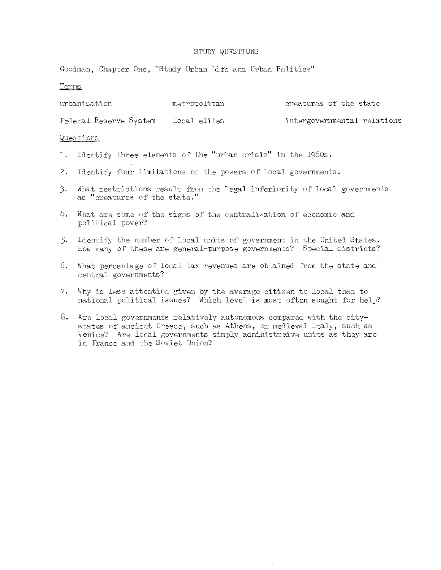Goodman, Chapter One, "Study Urban Life and Urban Politics"

#### Terms

| urbanization           | metropolitan | creatures of the state      |
|------------------------|--------------|-----------------------------|
| Federal Reserve System | local elites | intergovernmental relations |

- 1. Identify three elements of the "urban crisis" in the 1960s.
- 2. Identify four limitations on the powers of local governments.
- **3.** What restrictions result from the legal inferiority of local governments as "creatures of the state."
- **4.** What are some of the signs of the centralization of economic and political power?
- 5. Identify the number of local units of government in the United States. How many of these are general-purpose governments? Special districts?
- **6.** What percentage of local tax revenues are obtained from the state and central governments?
- 7. Why is less attention given by the average citizen to local than to national political issues? Which level is most often sought for help?
- **8.** Are local governments relatively autonomous compared with the citystates of ancient Greece, such as Athens, or medieval Italy, such as Venice? Are local governments simply administraive units as they are in France and the Soviet Union?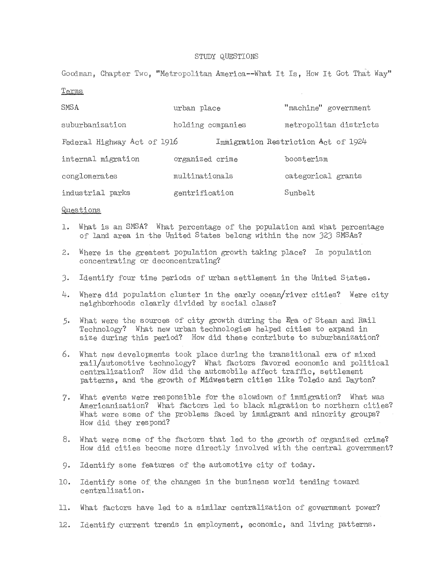Goodman, Chapter Two, "Metropolitan America--What It Is, How It Got That Way"

Terms

| SMSA                        | urban place       | "machine" government                |
|-----------------------------|-------------------|-------------------------------------|
| suburbanization             | holding companies | metropolitan districts              |
| Federal Highway Act of 1916 |                   | Immigration Restriction Act of 1924 |
| internal migration          | organized crime   | boosterism                          |
| conglomerates               | multinationals    | categorical grants                  |
| industrial parks            | gentrification    | Sunbelt                             |

- 1. What is an SMSA? What percentage of the population and what percentage of land area in the United States belong within the now J2J SMSAs?
- 2. Where is the greatest population growth taking place? Is population concentrating or deconcentrating?
- J. Identify four time periods of urban settlement in the United States.
- 4. Where did population cluster in the early ocean/river cities? Were city neighborhoods clearly divided by social class?
- 5. What were the sources of city growth during the Era of Steam and Rail Technology? What new urban technologies helped cities to expand in size during this period? How did these contribute to suburbanization?
- 6. What new developments took place during the transitional era of mixed rail/automotive technology? What factors favored economic and political centralization? How did the automobile affect traffic, settlement patterns, and the growth of Midwestern cities like Toledo and Dayton?
- 7. What events were responsible for the slowdown of immigration? What was Americanization? What factors led to black migration to northern cities? What were some of the problems faced by immigrant and minority groups? How did they respond?
- 8. What were some of the factors that led to the growth of organized crime? How did cities become more directly involved with the central government?
- 9. IdentifY some features of the automotive city of today.
- 10. Identify some of the changes in the business world tending toward centralization.
- **11.** What factors have led to a similar centralization of government power?
- 12. Identify current trends in employment, economic, and living patterns.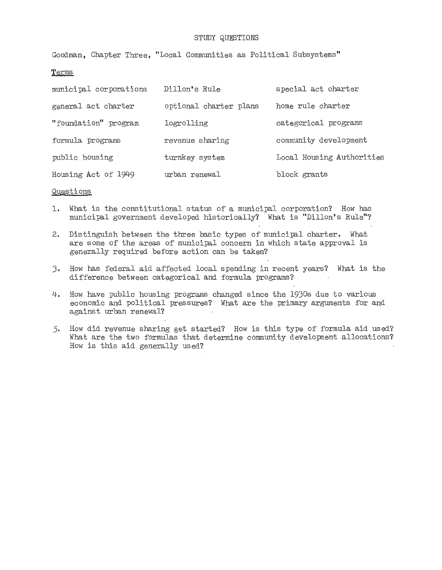Goodman, Chapter Three, "Local Communities as Political Subsystems"

## Terms

| municipal corporations | Dillon's Rule          | special act charter       |
|------------------------|------------------------|---------------------------|
| general act charter    | optional charter plans | home rule charter         |
| "foundation" program   | logrolling             | categorical programs      |
| formula programs       | revenue sharing        | community development     |
| public housing         | turnkey system         | Local Housing Authorities |
| Housing Act of 1949    | urban renewal          | block grants              |

- **1.** What is the constitutional status of a municipal corporation? How has municipal government developed historically? What is "Dillon's Rule"?
- 2. Distinguish between the three basic types of municipal charter. What are some of the areas of municipal concern in which state approval is generally required before action can be taken?
- 3. How has federal aid affected local spending in recent years? What is the difference between categorical and formula programs?
- 4. How have public housing programs changed since the 1930s due to various economic and political pressures? What are the primary arguments for and against urban renewal?
- 5. How did revenue sharing get started? How is this type of formula aid used? What are the two formulas that determine community development allocations? How is this aid generally used?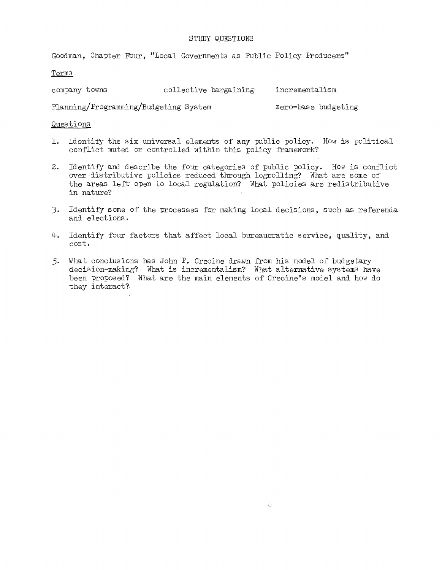Goodman, Chapter Four, "Local Governments as Public Policy Producers"

Terms

company towns collective bargaining incrementalism

Planning/Programming/Budgeting System zero-base budgeting

- 1. Identify the six universal elements of any public policy. How is political conflict muted or controlled within this policy framework?
- **2.** Identify and describe the four categories of public policy. How is conflict over distributive policies reduced through logrolling? What are some of the areas left open to local regulation? What policies are redistributive in nature?
- 3. IdentifY some of the processes for making local decisions, such as referenda and elections.
- 4. Identify four factors that affect local bureaucratic service, quality, and cost.
- 5. What conclusions has John P. Crecine drawn rrom his model of budgetary decision-making? What is incrementalism? What alternative systems have been proposed? What are the main elements of Crecine's model and how do they interact?,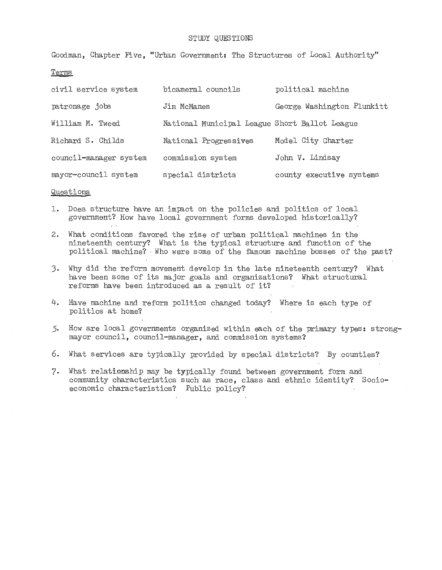Goodman, Chapter Five, "Urban Government: The Structures of Local Authority"

Terms

| civil service system   | bicameral councils                            | political machine          |
|------------------------|-----------------------------------------------|----------------------------|
| patronage jobs         | Jim McManes                                   | George Washington Plunkitt |
| William M. Tweed       | National Municipal League Short Ballot League |                            |
| Richard S. Childs      | National Progressives                         | Model City Charter         |
| council-manager system | commission system                             | John V. Lindsay            |
| mayor-council system   | special districts                             | county executive systems   |

- 1. DOes structure have an impact on the policies and politics of local government? How have local government forms developed historically?
- 2. What conditions favored the rise of urban political machines in the nineteenth century? What is the typical structure and function of the political machine? . Who were some of the famous machine bosses of the past?
- 3. Why did the reform movement develop in the late nineteenth century? What have been some of its major goals and organizations? What structural reforms have been introduced as a result of it?
- 4. Have machine and reform politics changed today? Where is each type of politics at home?
- 5. How are local governments organized within each of the primary types: strongmayor council, council-manager, and commission systems?
- 6. What services are typically provided by special districts? By counties?
- 7. What relationship may be typically found between government form and community characteristics such as race, class and ethnic identity? Socioeconomic characteristics? Public policy?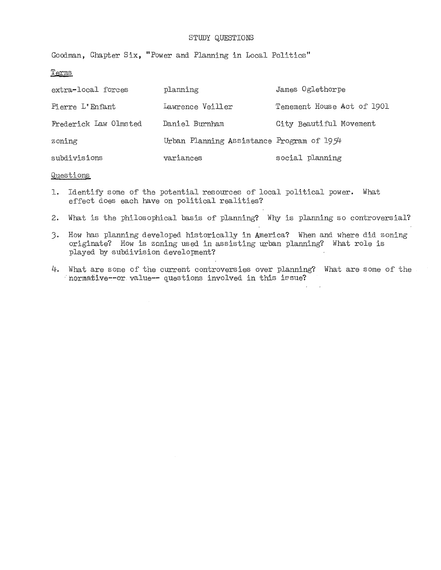Goodman, Chapter Six, "Power and Planning in Local Politics"

Terms

| extra-local forces    | planning                                  | James Oglethorpe           |
|-----------------------|-------------------------------------------|----------------------------|
| Pierre L'Enfant       | Lawrence Veiller                          | Tenement House Act of 1901 |
| Frederick Law Olmsted | Daniel Burnham                            | City Beautiful Movement    |
| zoning                | Urban Planning Assistance Program of 1954 |                            |
| subdivisions          | variances                                 | social planning            |

#### guestions

- **1.** Identify some of the potential resources of local political power. What effect does each have on political realities?
- 2. What is the philosophical basis of planning? Why is planning so controversial?
- 3. How has planning developed historically in America? When and where did zoning originate? How is zoning used in assisting urban planning? What role is played by subdivision development?
- 4. What are some of the current controversies over planning? What are some of the normative--or value-- questions involved in this issue?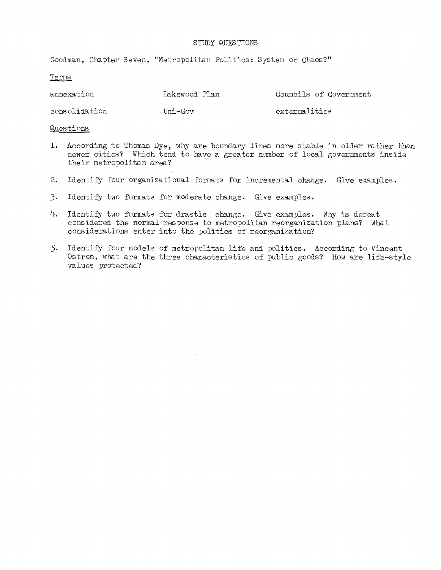Goodman, Chapter Seven, "Metropolitan Politics: System or Chaos?"

#### Terms

| annexation | Lakewood Plan |  | Councils of Government |
|------------|---------------|--|------------------------|
|            |               |  |                        |

consolidation Uni-Gov externalities

- 1. According to Thomas Dye, why are boundary lines more stable in older rather than newer cities? Which tend to have a greater number of local governments inside their metropolitan area?
- **2.** IdentifY four organizational formats for incremental change. Give examples.
- 3. Identify two formats for moderate change. Give examples.
- **4.** Identify two formats for drastic change. Give examples. Why is defeat considered the normal response to metropolitan reorganization plans? What considerations enter into the politics of reorganization?
- 5. Identify four models of metropolitan life and politics. According to Vincent Ostrom, what are the three characteristics of public goods? How are life-style values protected?